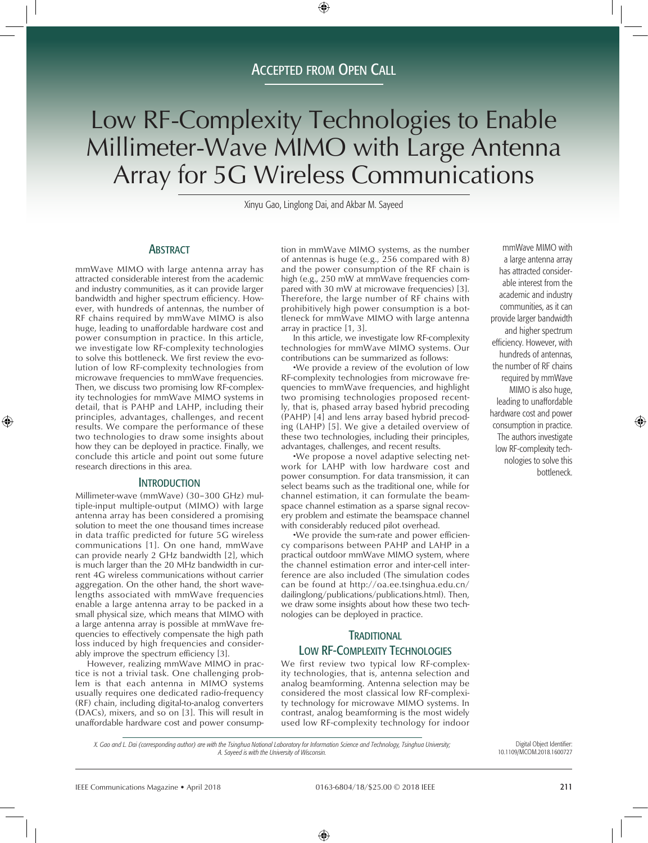# Low RF-Complexity Technologies to Enable Millimeter-Wave MIMO with Large Antenna Array for 5G Wireless Communications

Xinyu Gao, Linglong Dai, and Akbar M. Sayeed

# **ABSTRACT**

mmWave MIMO with large antenna array has attracted considerable interest from the academic and industry communities, as it can provide larger bandwidth and higher spectrum efficiency. However, with hundreds of antennas, the number of RF chains required by mmWave MIMO is also huge, leading to unaffordable hardware cost and power consumption in practice. In this article, we investigate low RF-complexity technologies to solve this bottleneck. We first review the evolution of low RF-complexity technologies from microwave frequencies to mmWave frequencies. Then, we discuss two promising low RF-complexity technologies for mmWave MIMO systems in detail, that is PAHP and LAHP, including their principles, advantages, challenges, and recent results. We compare the performance of these two technologies to draw some insights about how they can be deployed in practice. Finally, we conclude this article and point out some future research directions in this area.

## **INTRODUCTION**

Millimeter-wave (mmWave) (30–300 GHz) multiple-input multiple-output (MIMO) with large antenna array has been considered a promising solution to meet the one thousand times increase in data traffic predicted for future 5G wireless communications [1]. On one hand, mmWave can provide nearly 2 GHz bandwidth [2], which is much larger than the 20 MHz bandwidth in current 4G wireless communications without carrier aggregation. On the other hand, the short wavelengths associated with mmWave frequencies enable a large antenna array to be packed in a small physical size, which means that MIMO with a large antenna array is possible at mmWave frequencies to effectively compensate the high path loss induced by high frequencies and considerably improve the spectrum efficiency [3].

However, realizing mmWave MIMO in practice is not a trivial task. One challenging problem is that each antenna in MIMO systems usually requires one dedicated radio-frequency (RF) chain, including digital-to-analog converters (DACs), mixers, and so on [3]. This will result in unaffordable hardware cost and power consumption in mmWave MIMO systems, as the number of antennas is huge (e.g., 256 compared with 8) and the power consumption of the RF chain is high (e.g., 250 mW at mmWave frequencies compared with 30 mW at microwave frequencies) [3]. Therefore, the large number of RF chains with prohibitively high power consumption is a bottleneck for mmWave MIMO with large antenna array in practice [1, 3].

In this article, we investigate low RF-complexity technologies for mmWave MIMO systems. Our contributions can be summarized as follows:

•We provide a review of the evolution of low RF-complexity technologies from microwave frequencies to mmWave frequencies, and highlight two promising technologies proposed recently, that is, phased array based hybrid precoding (PAHP) [4] and lens array based hybrid precoding (LAHP) [5]. We give a detailed overview of these two technologies, including their principles, advantages, challenges, and recent results.

•We propose a novel adaptive selecting network for LAHP with low hardware cost and power consumption. For data transmission, it can select beams such as the traditional one, while for channel estimation, it can formulate the beamspace channel estimation as a sparse signal recovery problem and estimate the beamspace channel with considerably reduced pilot overhead.

•We provide the sum-rate and power efficiency comparisons between PAHP and LAHP in a practical outdoor mmWave MIMO system, where the channel estimation error and inter-cell interference are also included (The simulation codes can be found at http://oa.ee.tsinghua.edu.cn/ dailinglong/publications/publications.html). Then, we draw some insights about how these two technologies can be deployed in practice.

# **TRADITIONAL**

## Low RF-Complexity Technologies

We first review two typical low RF-complexity technologies, that is, antenna selection and analog beamforming. Antenna selection may be considered the most classical low RF-complexity technology for microwave MIMO systems. In contrast, analog beamforming is the most widely used low RF-complexity technology for indoor

*X. Gao and L. Dai (corresponding author) are with the Tsinghua National Laboratory for Information Science and Technology, Tsinghua University; A. Sayeed is with the University of Wisconsin.*

mmWave MIMO with a large antenna array has attracted considerable interest from the academic and industry communities, as it can provide larger bandwidth and higher spectrum efficiency. However, with hundreds of antennas, the number of RF chains required by mmWave MIMO is also huge, leading to unaffordable hardware cost and power consumption in practice. The authors investigate low RF-complexity technologies to solve this bottleneck.

> Digital Object Identifier: 10.1109/MCOM.2018.1600727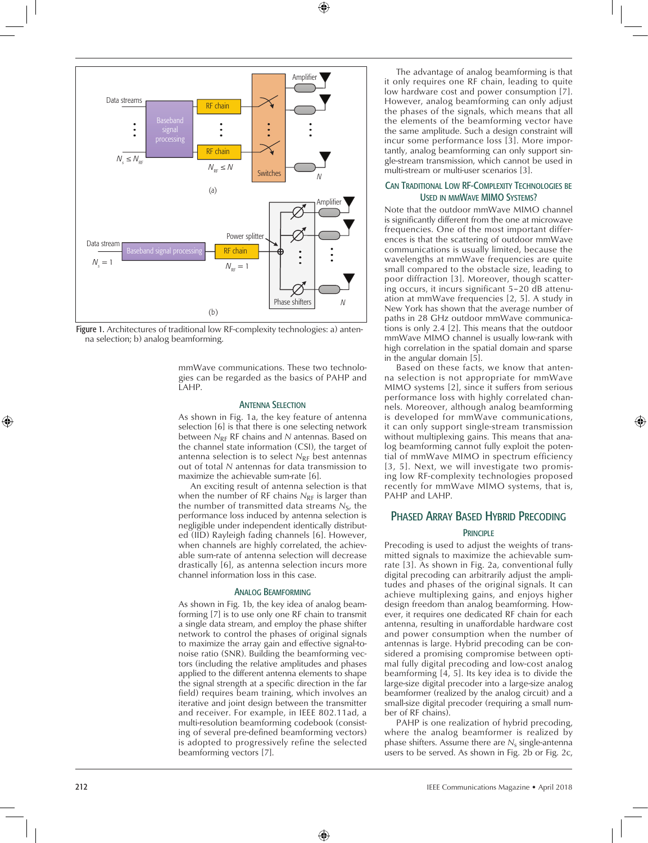

Figure 1. Architectures of traditional low RF-complexity technologies: a) antenna selection; b) analog beamforming.

mmWave communications. These two technologies can be regarded as the basics of PAHP and LAHP.

### Antenna Selection

As shown in Fig. 1a, the key feature of antenna selection [6] is that there is one selecting network between  $N_{RF}$  RF chains and N antennas. Based on the channel state information (CSI), the target of antenna selection is to select N<sub>RF</sub> best antennas out of total *N* antennas for data transmission to maximize the achievable sum-rate [6].

An exciting result of antenna selection is that when the number of RF chains  $N_{RF}$  is larger than the number of transmitted data streams *N<sub>S</sub>*, the performance loss induced by antenna selection is negligible under independent identically distributed (IID) Rayleigh fading channels [6]. However, when channels are highly correlated, the achievable sum-rate of antenna selection will decrease drastically [6], as antenna selection incurs more channel information loss in this case.

#### Analog Beamforming

As shown in Fig. 1b, the key idea of analog beamforming [7] is to use only one RF chain to transmit a single data stream, and employ the phase shifter network to control the phases of original signals to maximize the array gain and effective signal-tonoise ratio (SNR). Building the beamforming vectors (including the relative amplitudes and phases applied to the different antenna elements to shape the signal strength at a specific direction in the far field) requires beam training, which involves an iterative and joint design between the transmitter and receiver. For example, in IEEE 802.11ad, a multi-resolution beamforming codebook (consisting of several pre-defined beamforming vectors) is adopted to progressively refine the selected beamforming vectors [7].

The advantage of analog beamforming is that it only requires one RF chain, leading to quite low hardware cost and power consumption [7]. However, analog beamforming can only adjust the phases of the signals, which means that all the elements of the beamforming vector have the same amplitude. Such a design constraint will incur some performance loss [3]. More importantly, analog beamforming can only support single-stream transmission, which cannot be used in multi-stream or multi-user scenarios [3].

## Can Traditional Low RF-Complexity Technologies be Used in mmWave MIMO Systems?

Note that the outdoor mmWave MIMO channel is significantly different from the one at microwave frequencies. One of the most important differences is that the scattering of outdoor mmWave communications is usually limited, because the wavelengths at mmWave frequencies are quite small compared to the obstacle size, leading to poor diffraction [3]. Moreover, though scattering occurs, it incurs significant 5–20 dB attenuation at mmWave frequencies [2, 5]. A study in New York has shown that the average number of paths in 28 GHz outdoor mmWave communications is only 2.4 [2]. This means that the outdoor mmWave MIMO channel is usually low-rank with high correlation in the spatial domain and sparse in the angular domain [5].

Based on these facts, we know that antenna selection is not appropriate for mmWave MIMO systems [2], since it suffers from serious performance loss with highly correlated channels. Moreover, although analog beamforming is developed for mmWave communications, it can only support single-stream transmission without multiplexing gains. This means that analog beamforming cannot fully exploit the potential of mmWave MIMO in spectrum efficiency [3, 5]. Next, we will investigate two promising low RF-complexity technologies proposed recently for mmWave MIMO systems, that is, PAHP and LAHP.

# PHASED ARRAY BASED HYBRID PRECODING

## **PRINCIPLE**

Precoding is used to adjust the weights of transmitted signals to maximize the achievable sumrate [3]. As shown in Fig. 2a, conventional fully digital precoding can arbitrarily adjust the amplitudes and phases of the original signals. It can achieve multiplexing gains, and enjoys higher design freedom than analog beamforming. However, it requires one dedicated RF chain for each antenna, resulting in unaffordable hardware cost and power consumption when the number of antennas is large. Hybrid precoding can be considered a promising compromise between optimal fully digital precoding and low-cost analog beamforming [4, 5]. Its key idea is to divide the large-size digital precoder into a large-size analog beamformer (realized by the analog circuit) and a small-size digital precoder (requiring a small number of RF chains).

PAHP is one realization of hybrid precoding, where the analog beamformer is realized by phase shifters. Assume there are  $N_s$  single-antenna users to be served. As shown in Fig. 2b or Fig. 2c,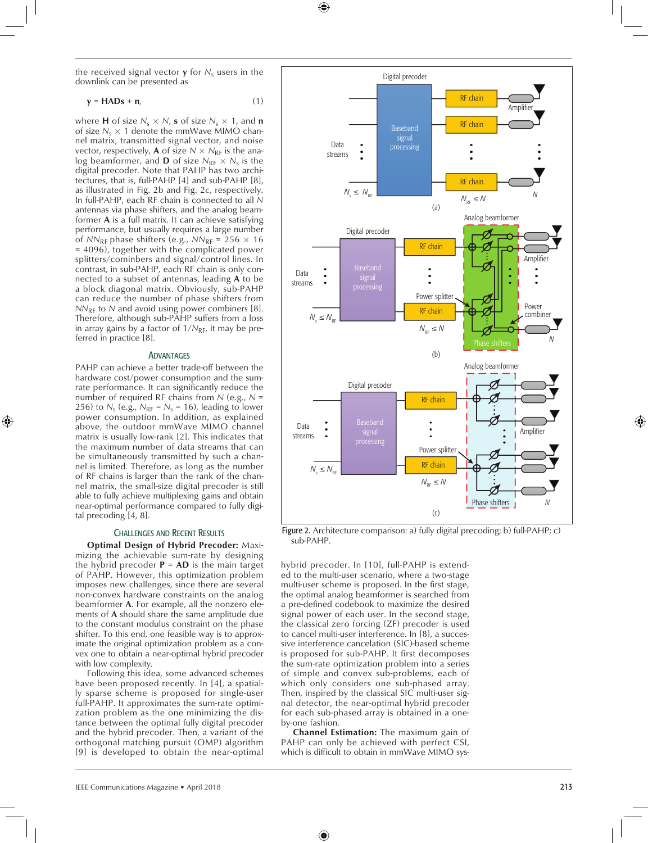the received signal vector  $y$  for  $N_s$  users in the downlink can be presented as

$$
y = HADs + n, \tag{1}
$$

where **H** of size  $N_s \times N_t$ , **s** of size  $N_s \times 1$ , and **n** of size  $N_s \times 1$  denote the mmWave MIMO channel matrix, transmitted signal vector, and noise vector, respectively, **A** of size  $N \times N_{RF}$  is the analog beamformer, and **D** of size  $N_{RF} \times N_s$  is the digital precoder. Note that PAHP has two architectures, that is, full-PAHP [4] and sub-PAHP [8], as illustrated in Fig. 2b and Fig. 2c, respectively. In full-PAHP, each RF chain is connected to all *N* antennas via phase shifters, and the analog beamformer A is a full matrix. It can achieve satisfying performance, but usually requires a large number of  $NN_{RF}$  phase shifters (e.g.,  $NN_{RF}$  = 256  $\times$  16 = 4096), together with the complicated power splitters/cominbers and signal/control lines. In contrast, in sub-PAHP, each RF chain is only connected to a subset of antennas, leading A to be a block diagonal matrix. Obviously, sub-PAHP can reduce the number of phase shifters from *NN*RF to *N* and avoid using power combiners [8]. Therefore, although sub-PAHP suffers from a loss in array gains by a factor of  $1/N_{RF}$ , it may be preferred in practice [8].

#### **ADVANTAGES**

PAHP can achieve a better trade-off between the hardware cost/power consumption and the sumrate performance. It can significantly reduce the number of required RF chains from *N* (e.g., *N* = 256) to  $N_s$  (e.g.,  $N_{RF} = N_s = 16$ ), leading to lower power consumption. In addition, as explained above, the outdoor mmWave MIMO channel matrix is usually low-rank [2]. This indicates that the maximum number of data streams that can be simultaneously transmitted by such a channel is limited. Therefore, as long as the number of RF chains is larger than the rank of the channel matrix, the small-size digital precoder is still able to fully achieve multiplexing gains and obtain near-optimal performance compared to fully digital precoding [4, 8].

## Challenges and Recent Results

Optimal Design of Hybrid Precoder: Maximizing the achievable sum-rate by designing the hybrid precoder  $P = AD$  is the main target of PAHP. However, this optimization problem imposes new challenges, since there are several non-convex hardware constraints on the analog beamformer A. For example, all the nonzero elements of A should share the same amplitude due to the constant modulus constraint on the phase shifter. To this end, one feasible way is to approximate the original optimization problem as a convex one to obtain a near-optimal hybrid precoder with low complexity.

Following this idea, some advanced schemes have been proposed recently. In [4], a spatially sparse scheme is proposed for single-user full-PAHP. It approximates the sum-rate optimization problem as the one minimizing the distance between the optimal fully digital precoder and the hybrid precoder. Then, a variant of the orthogonal matching pursuit (OMP) algorithm [9] is developed to obtain the near-optimal



Figure 2. Architecture comparison: a) fully digital precoding; b) full-PAHP; c) sub-PAHP.

hybrid precoder. In [10], full-PAHP is extended to the multi-user scenario, where a two-stage multi-user scheme is proposed. In the first stage, the optimal analog beamformer is searched from a pre-defined codebook to maximize the desired signal power of each user. In the second stage, the classical zero forcing (ZF) precoder is used to cancel multi-user interference. In [8], a successive interference cancelation (SIC)-based scheme is proposed for sub-PAHP. It first decomposes the sum-rate optimization problem into a series of simple and convex sub-problems, each of which only considers one sub-phased array. Then, inspired by the classical SIC multi-user signal detector, the near-optimal hybrid precoder for each sub-phased array is obtained in a oneby-one fashion.

Channel Estimation: The maximum gain of PAHP can only be achieved with perfect CSI, which is difficult to obtain in mmWave MIMO sys-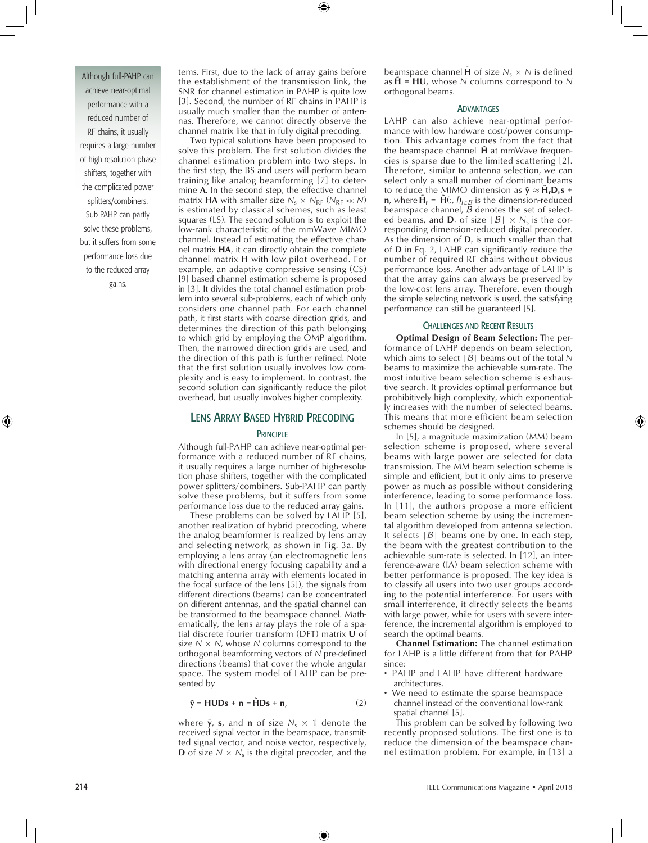Although full-PAHP can achieve near-optimal performance with a reduced number of RF chains, it usually requires a large number of high-resolution phase shifters, together with the complicated power splitters/combiners. Sub-PAHP can partly solve these problems, but it suffers from some performance loss due to the reduced array gains.

tems. First, due to the lack of array gains before the establishment of the transmission link, the SNR for channel estimation in PAHP is quite low [3]. Second, the number of RF chains in PAHP is usually much smaller than the number of antennas. Therefore, we cannot directly observe the channel matrix like that in fully digital precoding.

Two typical solutions have been proposed to solve this problem. The first solution divides the channel estimation problem into two steps. In the first step, the BS and users will perform beam training like analog beamforming [7] to determine A. In the second step, the effective channel matrix **HA** with smaller size  $N_s \times N_{RF}$  ( $N_{RF} \ll N$ ) is estimated by classical schemes, such as least squares (LS). The second solution is to exploit the low-rank characteristic of the mmWave MIMO channel. Instead of estimating the effective channel matrix HA, it can directly obtain the complete channel matrix H with low pilot overhead. For example, an adaptive compressive sensing (CS) [9] based channel estimation scheme is proposed in [3]. It divides the total channel estimation problem into several sub-problems, each of which only considers one channel path. For each channel path, it first starts with coarse direction grids, and determines the direction of this path belonging to which grid by employing the OMP algorithm. Then, the narrowed direction grids are used, and the direction of this path is further refined. Note that the first solution usually involves low complexity and is easy to implement. In contrast, the second solution can significantly reduce the pilot overhead, but usually involves higher complexity.

## Lens Array Based Hybrid Precoding

### **PRINCIPLE**

Although full-PAHP can achieve near-optimal performance with a reduced number of RF chains, it usually requires a large number of high-resolution phase shifters, together with the complicated power splitters/combiners. Sub-PAHP can partly solve these problems, but it suffers from some performance loss due to the reduced array gains.

These problems can be solved by LAHP [5], another realization of hybrid precoding, where the analog beamformer is realized by lens array and selecting network, as shown in Fig. 3a. By employing a lens array (an electromagnetic lens with directional energy focusing capability and a matching antenna array with elements located in the focal surface of the lens [5]), the signals from different directions (beams) can be concentrated on different antennas, and the spatial channel can be transformed to the beamspace channel. Mathematically, the lens array plays the role of a spatial discrete fourier transform (DFT) matrix U of size  $N \times N$ , whose *N* columns correspond to the orthogonal beamforming vectors of *N* pre-defined directions (beams) that cover the whole angular space. The system model of LAHP can be presented by

$$
\tilde{\mathbf{y}} = \mathbf{H} \mathbf{U} \mathbf{D} \mathbf{s} + \mathbf{n} = \tilde{\mathbf{H}} \mathbf{D} \mathbf{s} + \mathbf{n}, \tag{2}
$$

where  $\tilde{y}$ , **s**, and **n** of size  $N_s \times 1$  denote the received signal vector in the beamspace, transmitted signal vector, and noise vector, respectively, **D** of size  $N \times N_s$  is the digital precoder, and the beamspace channel  $\tilde{H}$  of size  $N_s \times N$  is defined as  $\dot{H}$  = HU, whose *N* columns correspond to *N* orthogonal beams.

#### **ADVANTAGES**

LAHP can also achieve near-optimal performance with low hardware cost/power consumption. This advantage comes from the fact that the beamspace channel  $\hat{H}$  at mmWave frequencies is sparse due to the limited scattering [2]. Therefore, similar to antenna selection, we can select only a small number of dominant beams to reduce the MIMO dimension as  $\tilde{y} \approx \tilde{H}_r D_r s$  + **n**, where  $\mathbf{H}_r = \mathbf{H}(:, l)_{l \in \mathcal{B}}$  is the dimension-reduced beamspace channel,  $\beta$  denotes the set of selected beams, and  $\mathbf{D}_r$  of size  $|\mathcal{B}| \times N_s$  is the corresponding dimension-reduced digital precoder. As the dimension of  $D_r$  is much smaller than that of D in Eq. 2, LAHP can significantly reduce the number of required RF chains without obvious performance loss. Another advantage of LAHP is that the array gains can always be preserved by the low-cost lens array. Therefore, even though the simple selecting network is used, the satisfying performance can still be guaranteed [5].

#### Challenges and Recent Results

Optimal Design of Beam Selection: The performance of LAHP depends on beam selection, which aims to select  $|\mathcal{B}|$  beams out of the total N beams to maximize the achievable sum-rate. The most intuitive beam selection scheme is exhaustive search. It provides optimal performance but prohibitively high complexity, which exponentially increases with the number of selected beams. This means that more efficient beam selection schemes should be designed.

In [5], a magnitude maximization (MM) beam selection scheme is proposed, where several beams with large power are selected for data transmission. The MM beam selection scheme is simple and efficient, but it only aims to preserve power as much as possible without considering interference, leading to some performance loss. In [11], the authors propose a more efficient beam selection scheme by using the incremental algorithm developed from antenna selection. It selects  $|\mathcal{B}|$  beams one by one. In each step, the beam with the greatest contribution to the achievable sum-rate is selected. In [12], an interference-aware (IA) beam selection scheme with better performance is proposed. The key idea is to classify all users into two user groups according to the potential interference. For users with small interference, it directly selects the beams with large power, while for users with severe interference, the incremental algorithm is employed to search the optimal beams.

Channel Estimation: The channel estimation for LAHP is a little different from that for PAHP since:

- PAHP and LAHP have different hardware architectures.
- We need to estimate the sparse beamspace channel instead of the conventional low-rank spatial channel [5].

This problem can be solved by following two recently proposed solutions. The first one is to reduce the dimension of the beamspace channel estimation problem. For example, in [13] a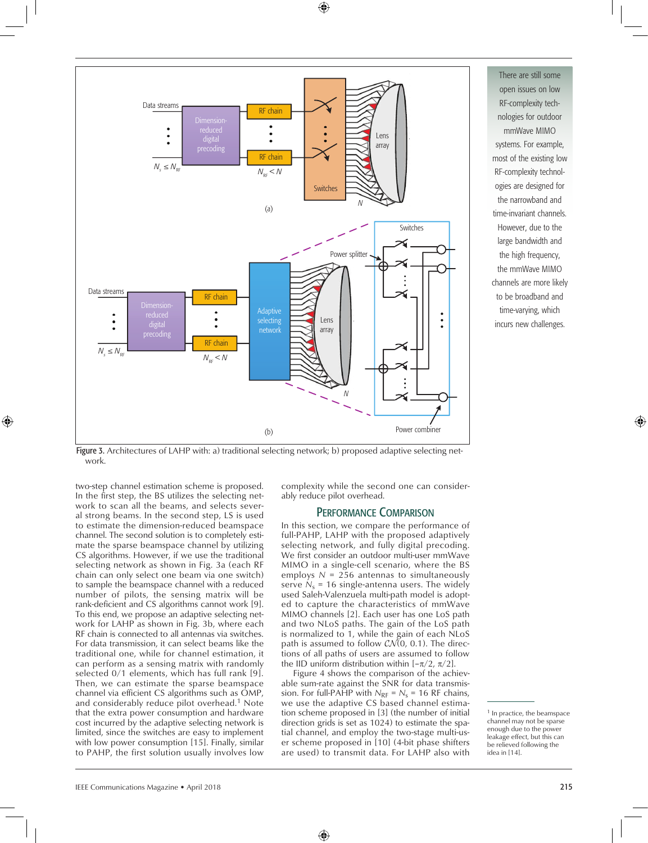

There are still some open issues on low RF-complexity technologies for outdoor

mmWave MIMO systems. For example, most of the existing low RF-complexity technologies are designed for the narrowband and time-invariant channels. However, due to the large bandwidth and the high frequency, the mmWave MIMO channels are more likely to be broadband and time-varying, which incurs new challenges.

Figure 3. Architectures of LAHP with: a) traditional selecting network; b) proposed adaptive selecting network.

two-step channel estimation scheme is proposed. In the first step, the BS utilizes the selecting network to scan all the beams, and selects several strong beams. In the second step, LS is used to estimate the dimension-reduced beamspace channel. The second solution is to completely estimate the sparse beamspace channel by utilizing CS algorithms. However, if we use the traditional selecting network as shown in Fig. 3a (each RF chain can only select one beam via one switch) to sample the beamspace channel with a reduced number of pilots, the sensing matrix will be rank-deficient and CS algorithms cannot work [9]. To this end, we propose an adaptive selecting network for LAHP as shown in Fig. 3b, where each RF chain is connected to all antennas via switches. For data transmission, it can select beams like the traditional one, while for channel estimation, it can perform as a sensing matrix with randomly selected 0/1 elements, which has full rank [9]. Then, we can estimate the sparse beamspace channel via efficient CS algorithms such as OMP, and considerably reduce pilot overhead.<sup>1</sup> Note that the extra power consumption and hardware cost incurred by the adaptive selecting network is limited, since the switches are easy to implement with low power consumption [15]. Finally, similar to PAHP, the first solution usually involves low complexity while the second one can considerably reduce pilot overhead.

## Performance Comparison

In this section, we compare the performance of full-PAHP, LAHP with the proposed adaptively selecting network, and fully digital precoding. We first consider an outdoor multi-user mmWave MIMO in a single-cell scenario, where the BS employs  $N = 256$  antennas to simultaneously serve  $N_s$  = 16 single-antenna users. The widely used Saleh-Valenzuela multi-path model is adopted to capture the characteristics of mmWave MIMO channels [2]. Each user has one LoS path and two NLoS paths. The gain of the LoS path is normalized to 1, while the gain of each NLoS path is assumed to follow  $CN(0, 0.1)$ . The directions of all paths of users are assumed to follow the IID uniform distribution within  $[-\pi/2, \pi/2]$ .

Figure 4 shows the comparison of the achievable sum-rate against the SNR for data transmission. For full-PAHP with  $N_{RF} = N_s = 16$  RF chains, we use the adaptive CS based channel estimation scheme proposed in [3] (the number of initial direction grids is set as 1024) to estimate the spatial channel, and employ the two-stage multi-user scheme proposed in [10] (4-bit phase shifters are used) to transmit data. For LAHP also with

<sup>&</sup>lt;sup>1</sup> In practice, the beamspace channel may not be sparse enough due to the power leakage effect, but this can be relieved following the idea in [14].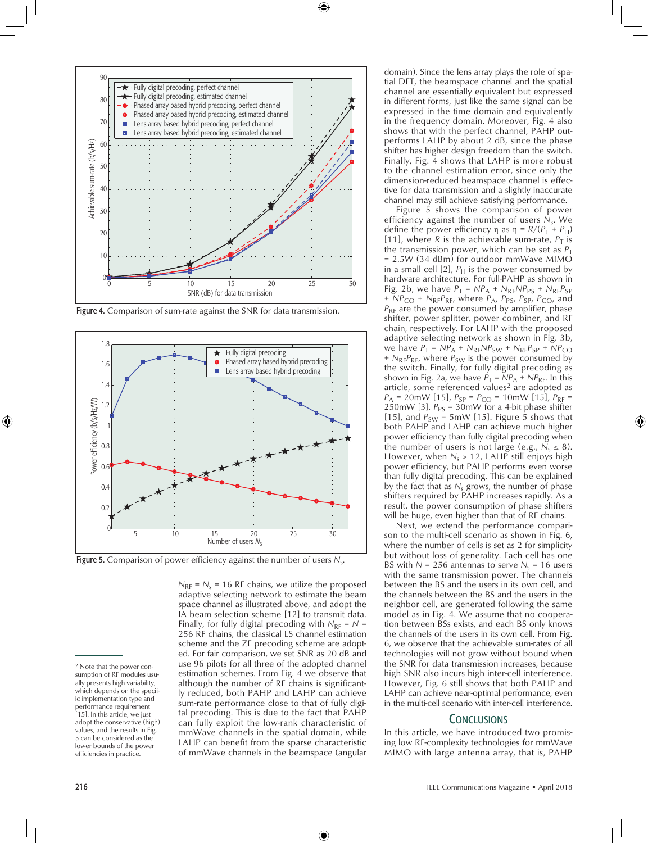

Figure 4. Comparison of sum-rate against the SNR for data transmission.



Figure 5. Comparison of power efficiency against the number of users N<sub>s</sub>.

 $N_{\text{RF}}$  =  $N_{\text{s}}$  = 16 RF chains, we utilize the proposed adaptive selecting network to estimate the beam space channel as illustrated above, and adopt the IA beam selection scheme [12] to transmit data. Finally, for fully digital precoding with  $N_{RF} = N =$ 256 RF chains, the classical LS channel estimation scheme and the ZF precoding scheme are adopted. For fair comparison, we set SNR as 20 dB and use 96 pilots for all three of the adopted channel estimation schemes. From Fig. 4 we observe that although the number of RF chains is significantly reduced, both PAHP and LAHP can achieve sum-rate performance close to that of fully digital precoding. This is due to the fact that PAHP can fully exploit the low-rank characteristic of mmWave channels in the spatial domain, while LAHP can benefit from the sparse characteristic of mmWave channels in the beamspace (angular

domain). Since the lens array plays the role of spatial DFT, the beamspace channel and the spatial channel are essentially equivalent but expressed in different forms, just like the same signal can be expressed in the time domain and equivalently in the frequency domain. Moreover, Fig. 4 also shows that with the perfect channel, PAHP outperforms LAHP by about 2 dB, since the phase shifter has higher design freedom than the switch. Finally, Fig. 4 shows that LAHP is more robust to the channel estimation error, since only the dimension-reduced beamspace channel is effective for data transmission and a slightly inaccurate channel may still achieve satisfying performance.

Figure 5 shows the comparison of power efficiency against the number of users  $N_s$ . We define the power efficiency  $\eta$  as  $\eta = R/(P_T + P_H)$ [11], where *R* is the achievable sum-rate,  $P_T$  is the transmission power, which can be set as  $P<sub>T</sub>$ = 2.5W (34 dBm) for outdoor mmWave MIMO in a small cell  $[2]$ ,  $P_H$  is the power consumed by hardware architecture. For full-PAHP as shown in Fig. 2b, we have  $P_T = NP_A + N_{RF}NP_{PS} + N_{RF}P_{SP}$ + *NP*CO + *N*RF*P*RF, where *P*A, *P*PS, *P*SP, *P*CO, and *P<sub>RF</sub>* are the power consumed by amplifier, phase shifter, power splitter, power combiner, and RF chain, respectively. For LAHP with the proposed adaptive selecting network as shown in Fig. 3b, we have  $P_T = NP_A + N_{RF}NP_{SW} + N_{RF}P_{SP} + NP_{CO}$  $+ N_{\text{RF}}P_{\text{RF}}$ , where  $P_{\text{SW}}$  is the power consumed by the switch. Finally, for fully digital precoding as shown in Fig. 2a, we have  $P_T = NP_A + NP_{RF}$ . In this article, some referenced values<sup>2</sup> are adopted as  $P_A$  = 20mW [15],  $P_{SP}$  =  $P_{CO}$  = 10mW [15],  $P_{RF}$  = 250mW [3],  $P_{PS}$  = 30mW for a 4-bit phase shifter [15], and  $P_{SW}$  = 5mW [15]. Figure 5 shows that both PAHP and LAHP can achieve much higher power efficiency than fully digital precoding when the number of users is not large (e.g.,  $N_s \le 8$ ). However, when  $N_s > 12$ , LAHP still enjoys high power efficiency, but PAHP performs even worse than fully digital precoding. This can be explained by the fact that as  $N_s$  grows, the number of phase shifters required by PAHP increases rapidly. As a result, the power consumption of phase shifters will be huge, even higher than that of RF chains.

Next, we extend the performance comparison to the multi-cell scenario as shown in Fig. 6, where the number of cells is set as 2 for simplicity but without loss of generality. Each cell has one BS with  $N = 256$  antennas to serve  $N_s = 16$  users with the same transmission power. The channels between the BS and the users in its own cell, and the channels between the BS and the users in the neighbor cell, are generated following the same model as in Fig. 4. We assume that no cooperation between BSs exists, and each BS only knows the channels of the users in its own cell. From Fig. 6, we observe that the achievable sum-rates of all technologies will not grow without bound when the SNR for data transmission increases, because high SNR also incurs high inter-cell interference. However, Fig. 6 still shows that both PAHP and LAHP can achieve near-optimal performance, even in the multi-cell scenario with inter-cell interference.

# **CONCLUSIONS**

In this article, we have introduced two promising low RF-complexity technologies for mmWave MIMO with large antenna array, that is, PAHP

<sup>2</sup> Note that the power consumption of RF modules usually presents high variability, which depends on the specific implementation type and performance requirement [15]. In this article, we just adopt the conservative (high) values, and the results in Fig. 5 can be considered as the lower bounds of the power efficiencies in practice.